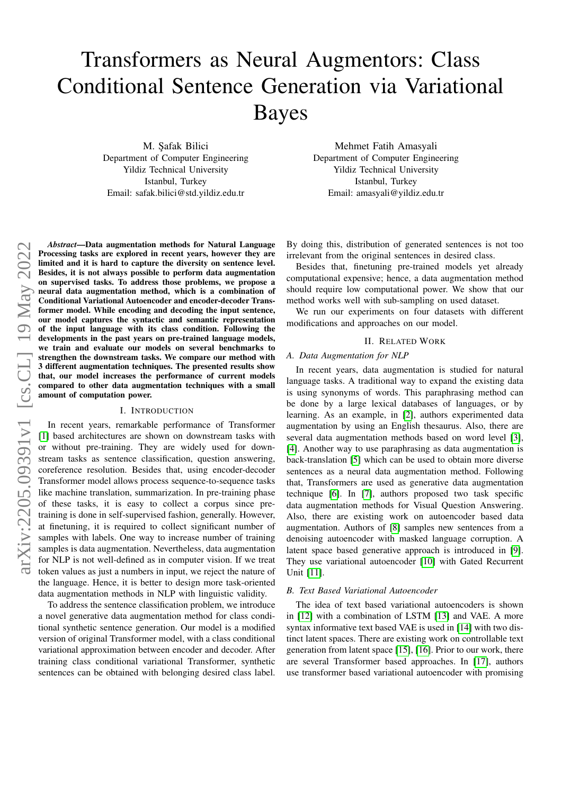# Transformers as Neural Augmentors: Class Conditional Sentence Generation via Variational Bayes

M. Safak Bilici Department of Computer Engineering Yildiz Technical University Istanbul, Turkey Email: safak.bilici@std.yildiz.edu.tr

Mehmet Fatih Amasyali Department of Computer Engineering Yildiz Technical University Istanbul, Turkey Email: amasyali@yildiz.edu.tr

*Abstract*—Data augmentation methods for Natural Language Processing tasks are explored in recent years, however they are limited and it is hard to capture the diversity on sentence level. Besides, it is not always possible to perform data augmentation on supervised tasks. To address those problems, we propose a neural data augmentation method, which is a combination of Conditional Variational Autoencoder and encoder-decoder Transformer model. While encoding and decoding the input sentence, our model captures the syntactic and semantic representation of the input language with its class condition. Following the developments in the past years on pre-trained language models, we train and evaluate our models on several benchmarks to strengthen the downstream tasks. We compare our method with 3 different augmentation techniques. The presented results show that, our model increases the performance of current models compared to other data augmentation techniques with a small amount of computation power.

#### I. INTRODUCTION

In recent years, remarkable performance of Transformer [\[1\]](#page-4-0) based architectures are shown on downstream tasks with or without pre-training. They are widely used for downstream tasks as sentence classification, question answering, coreference resolution. Besides that, using encoder-decoder Transformer model allows process sequence-to-sequence tasks like machine translation, summarization. In pre-training phase of these tasks, it is easy to collect a corpus since pretraining is done in self-supervised fashion, generally. However, at finetuning, it is required to collect significant number of samples with labels. One way to increase number of training samples is data augmentation. Nevertheless, data augmentation for NLP is not well-defined as in computer vision. If we treat token values as just a numbers in input, we reject the nature of the language. Hence, it is better to design more task-oriented data augmentation methods in NLP with linguistic validity.

To address the sentence classification problem, we introduce a novel generative data augmentation method for class conditional synthetic sentence generation. Our model is a modified version of original Transformer model, with a class conditional variational approximation between encoder and decoder. After training class conditional variational Transformer, synthetic sentences can be obtained with belonging desired class label.

By doing this, distribution of generated sentences is not too irrelevant from the original sentences in desired class.

Besides that, finetuning pre-trained models yet already computational expensive; hence, a data augmentation method should require low computational power. We show that our method works well with sub-sampling on used dataset.

We run our experiments on four datasets with different modifications and approaches on our model.

# II. RELATED WORK

# *A. Data Augmentation for NLP*

In recent years, data augmentation is studied for natural language tasks. A traditional way to expand the existing data is using synonyms of words. This paraphrasing method can be done by a large lexical databases of languages, or by learning. As an example, in [\[2\]](#page-4-1), authors experimented data augmentation by using an English thesaurus. Also, there are several data augmentation methods based on word level [\[3\]](#page-4-2), [\[4\]](#page-4-3). Another way to use paraphrasing as data augmentation is back-translation [\[5\]](#page-4-4) which can be used to obtain more diverse sentences as a neural data augmentation method. Following that, Transformers are used as generative data augmentation technique [\[6\]](#page-4-5). In [\[7\]](#page-4-6), authors proposed two task specific data augmentation methods for Visual Question Answering. Also, there are existing work on autoencoder based data augmentation. Authors of [\[8\]](#page-4-7) samples new sentences from a denoising autoencoder with masked language corruption. A latent space based generative approach is introduced in [\[9\]](#page-4-8). They use variational autoencoder [\[10\]](#page-4-9) with Gated Recurrent Unit [\[11\]](#page-4-10).

#### *B. Text Based Variational Autoencoder*

The idea of text based variational autoencoders is shown in [\[12\]](#page-4-11) with a combination of LSTM [\[13\]](#page-4-12) and VAE. A more syntax informative text based VAE is used in [\[14\]](#page-4-13) with two distinct latent spaces. There are existing work on controllable text generation from latent space [\[15\]](#page-4-14), [\[16\]](#page-4-15). Prior to our work, there are several Transformer based approaches. In [\[17\]](#page-4-16), authors use transformer based variational autoencoder with promising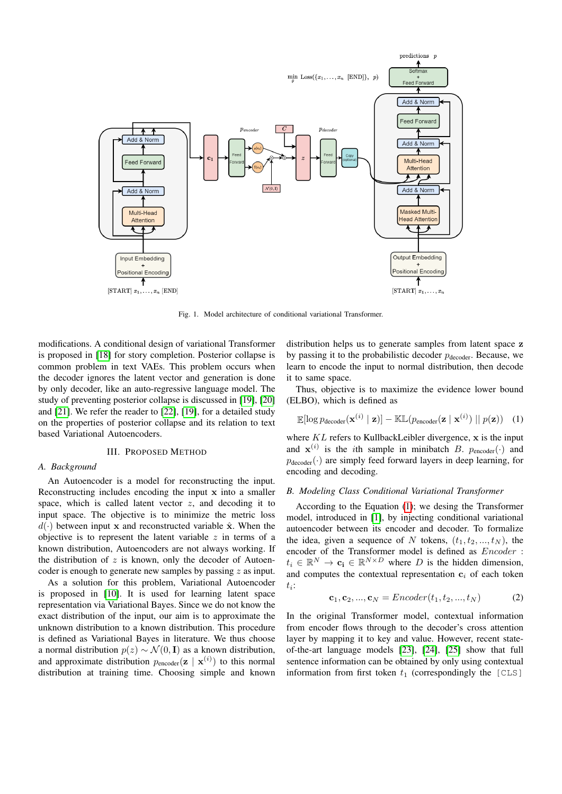

<span id="page-1-1"></span>Fig. 1. Model architecture of conditional variational Transformer.

modifications. A conditional design of variational Transformer is proposed in [\[18\]](#page-4-17) for story completion. Posterior collapse is common problem in text VAEs. This problem occurs when the decoder ignores the latent vector and generation is done by only decoder, like an auto-regressive language model. The study of preventing posterior collapse is discussed in [\[19\]](#page-4-18), [\[20\]](#page-4-19) and [\[21\]](#page-4-20). We refer the reader to [\[22\]](#page-5-0), [\[19\]](#page-4-18), for a detailed study on the properties of posterior collapse and its relation to text based Variational Autoencoders.

## III. PROPOSED METHOD

# *A. Background*

An Autoencoder is a model for reconstructing the input. Reconstructing includes encoding the input x into a smaller space, which is called latent vector  $z$ , and decoding it to input space. The objective is to minimize the metric loss  $d(\cdot)$  between input x and reconstructed variable  $\hat{\mathbf{x}}$ . When the objective is to represent the latent variable  $z$  in terms of a known distribution, Autoencoders are not always working. If the distribution of  $z$  is known, only the decoder of Autoencoder is enough to generate new samples by passing z as input.

As a solution for this problem, Variational Autoencoder is proposed in [\[10\]](#page-4-9). It is used for learning latent space representation via Variational Bayes. Since we do not know the exact distribution of the input, our aim is to approximate the unknown distribution to a known distribution. This procedure is defined as Variational Bayes in literature. We thus choose a normal distribution  $p(z) \sim \mathcal{N}(0, I)$  as a known distribution, and approximate distribution  $p_{encoder}(\mathbf{z} \mid \mathbf{x}^{(i)})$  to this normal distribution at training time. Choosing simple and known

distribution helps us to generate samples from latent space z by passing it to the probabilistic decoder  $p_{\text{decoder}}$ . Because, we learn to encode the input to normal distribution, then decode it to same space.

Thus, objective is to maximize the evidence lower bound (ELBO), which is defined as

<span id="page-1-0"></span>
$$
\mathbb{E}[\log p_{\text{decoder}}(\mathbf{x}^{(i)} \mid \mathbf{z})] - \mathbb{KL}(p_{\text{encoder}}(\mathbf{z} \mid \mathbf{x}^{(i)}) \mid p(\mathbf{z})) \quad (1)
$$

where  $KL$  refers to KullbackLeibler divergence,  $x$  is the input and  $\mathbf{x}^{(i)}$  is the *i*th sample in minibatch B.  $p_{encoder}(\cdot)$  and  $p_{\text{decoder}}(\cdot)$  are simply feed forward layers in deep learning, for encoding and decoding.

#### *B. Modeling Class Conditional Variational Transformer*

According to the Equation [\(1\)](#page-1-0); we desing the Transformer model, introduced in [\[1\]](#page-4-0), by injecting conditional variational autoencoder between its encoder and decoder. To formalize the idea, given a sequence of N tokens,  $(t_1, t_2, ..., t_N)$ , the encoder of the Transformer model is defined as Encoder :  $t_i \in \mathbb{R}^N \to \mathbf{c_i} \in \mathbb{R}^{N \times D}$  where D is the hidden dimension, and computes the contextual representation  $c_i$  of each token  $t_i$ :

$$
c_1, c_2, ..., c_N = \text{Encoder}(t_1, t_2, ..., t_N)
$$
 (2)

In the original Transformer model, contextual information from encoder flows through to the decoder's cross attention layer by mapping it to key and value. However, recent stateof-the-art language models [\[23\]](#page-5-1), [\[24\]](#page-5-2), [\[25\]](#page-5-3) show that full sentence information can be obtained by only using contextual information from first token  $t_1$  (correspondingly the [CLS]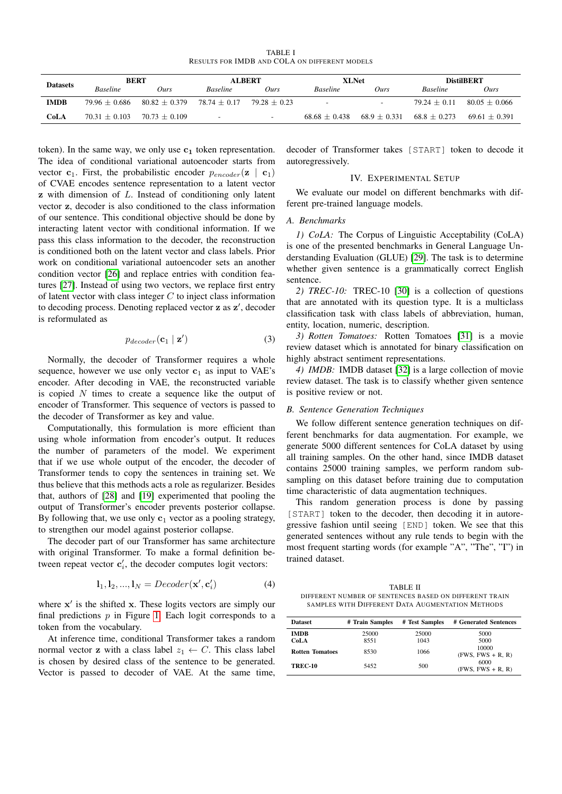TABLE I RESULTS FOR IMDB AND COLA ON DIFFERENT MODELS

<span id="page-2-1"></span>

| <b>Datasets</b> | <b>BERT</b>     |                 | <b>ALBERT</b>            |                          | <b>XLNet</b>             |                          | <b>DistilBERT</b> |                 |
|-----------------|-----------------|-----------------|--------------------------|--------------------------|--------------------------|--------------------------|-------------------|-----------------|
|                 | <b>Baseline</b> | 0urs            | <b>Baseline</b>          | Ours                     | <b>Baseline</b>          | Ours                     | <b>Baseline</b>   | Ours            |
| <b>IMDB</b>     | $79.96 + 0.686$ | $80.82 + 0.379$ | $78.74 + 0.17$           | $79.28 + 0.23$           | $\overline{\phantom{a}}$ | $\overline{\phantom{a}}$ | $79.24 + 0.11$    | $80.05 + 0.066$ |
| CoLA            | $70.31 + 0.103$ | $70.73 + 0.109$ | $\overline{\phantom{a}}$ | $\overline{\phantom{a}}$ | $68.68 + 0.438$          | $68.9 \pm 0.331$         | $68.8 \pm 0.273$  | $69.61 + 0.391$ |

token). In the same way, we only use  $c_1$  token representation. The idea of conditional variational autoencoder starts from vector  $c_1$ . First, the probabilistic encoder  $p_{encoder}(\mathbf{z} \mid c_1)$ of CVAE encodes sentence representation to a latent vector z with dimension of L. Instead of conditioning only latent vector z, decoder is also conditioned to the class information of our sentence. This conditional objective should be done by interacting latent vector with conditional information. If we pass this class information to the decoder, the reconstruction is conditioned both on the latent vector and class labels. Prior work on conditional variational autoencoder sets an another condition vector [\[26\]](#page-5-4) and replace entries with condition features [\[27\]](#page-5-5). Instead of using two vectors, we replace first entry of latent vector with class integer  $C$  to inject class information to decoding process. Denoting replaced vector z as z', decoder is reformulated as

$$
p_{decoder}(\mathbf{c}_1 \mid \mathbf{z}') \tag{3}
$$

Normally, the decoder of Transformer requires a whole sequence, however we use only vector  $c_1$  as input to VAE's encoder. After decoding in VAE, the reconstructed variable is copied  $N$  times to create a sequence like the output of encoder of Transformer. This sequence of vectors is passed to the decoder of Transformer as key and value.

Computationally, this formulation is more efficient than using whole information from encoder's output. It reduces the number of parameters of the model. We experiment that if we use whole output of the encoder, the decoder of Transformer tends to copy the sentences in training set. We thus believe that this methods acts a role as regularizer. Besides that, authors of [\[28\]](#page-5-6) and [\[19\]](#page-4-18) experimented that pooling the output of Transformer's encoder prevents posterior collapse. By following that, we use only  $c_1$  vector as a pooling strategy, to strengthen our model against posterior collapse.

The decoder part of our Transformer has same architecture with original Transformer. To make a formal definition between repeat vector  $\mathbf{c}'_i$ , the decoder computes logit vectors:

$$
\mathbf{l}_1, \mathbf{l}_2, ..., \mathbf{l}_N = Decoder(\mathbf{x}', \mathbf{c}'_i)
$$
 (4)

where  $x'$  is the shifted  $x$ . These logits vectors are simply our final predictions  $p$  in Figure [1.](#page-1-1) Each logit corresponds to a token from the vocabulary.

At inference time, conditional Transformer takes a random normal vector **z** with a class label  $z_1 \leftarrow C$ . This class label is chosen by desired class of the sentence to be generated. Vector is passed to decoder of VAE. At the same time,

decoder of Transformer takes [START] token to decode it autoregressively.

## IV. EXPERIMENTAL SETUP

We evaluate our model on different benchmarks with different pre-trained language models.

## *A. Benchmarks*

*1) CoLA:* The Corpus of Linguistic Acceptability (CoLA) is one of the presented benchmarks in General Language Understanding Evaluation (GLUE) [\[29\]](#page-5-7). The task is to determine whether given sentence is a grammatically correct English sentence.

*2) TREC-10:* TREC-10 [\[30\]](#page-5-8) is a collection of questions that are annotated with its question type. It is a multiclass classification task with class labels of abbreviation, human, entity, location, numeric, description.

*3) Rotten Tomatoes:* Rotten Tomatoes [\[31\]](#page-5-9) is a movie review dataset which is annotated for binary classification on highly abstract sentiment representations.

*4) IMDB:* IMDB dataset [\[32\]](#page-5-10) is a large collection of movie review dataset. The task is to classify whether given sentence is positive review or not.

#### *B. Sentence Generation Techniques*

We follow different sentence generation techniques on different benchmarks for data augmentation. For example, we generate 5000 different sentences for CoLA dataset by using all training samples. On the other hand, since IMDB dataset contains 25000 training samples, we perform random subsampling on this dataset before training due to computation time characteristic of data augmentation techniques.

This random generation process is done by passing [START] token to the decoder, then decoding it in autoregressive fashion until seeing [END] token. We see that this generated sentences without any rule tends to begin with the most frequent starting words (for example "A", "The", "I") in trained dataset.

<span id="page-2-0"></span>TABLE II DIFFERENT NUMBER OF SENTENCES BASED ON DIFFERENT TRAIN SAMPLES WITH DIFFERENT DATA AUGMENTATION METHODS

| <b>Dataset</b>         | # Train Samples | # Test Samples | # Generated Sentences        |  |  |
|------------------------|-----------------|----------------|------------------------------|--|--|
| <b>IMDB</b><br>CoLA    | 25000<br>8551   | 25000<br>1043  | 5000<br>5000                 |  |  |
| <b>Rotten Tomatoes</b> | 8530            | 1066           | 10000<br>$(FWS, FWS + R, R)$ |  |  |
| <b>TREC-10</b>         | 5452            | 500            | 6000<br>$(FWS, FWS + R, R)$  |  |  |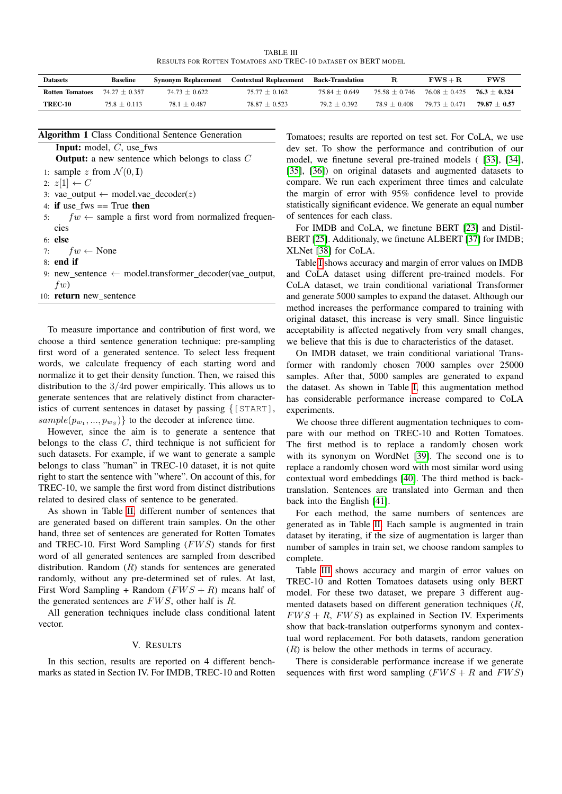TABLE III RESULTS FOR ROTTEN TOMATOES AND TREC-10 DATASET ON BERT MODEL

<span id="page-3-0"></span>

| <b>Datasets</b>        | Baseline       | Synonym Replacement | <b>Contextual Replacement</b> | <b>Back-Translation</b> | к               | $FWS + R$                      | FWS            |
|------------------------|----------------|---------------------|-------------------------------|-------------------------|-----------------|--------------------------------|----------------|
| <b>Rotten Tomatoes</b> | $7427 + 0357$  | $74.73 + 0.622$     | $75.77 + 0.162$               | $75.84 + 0.649$         | $75.58 + 0.746$ | $76.08 + 0.425$ $76.3 + 0.324$ |                |
| <b>TREC-10</b>         | $75.8 + 0.113$ | $78.1 + 0.487$      | $78.87 + 0.523$               | $79.2 + 0.392$          | $78.9 + 0.408$  | $79.73 + 0.471$                | $79.87 + 0.57$ |

| <b>Input:</b> model, $C$ , use_fws                                 |
|--------------------------------------------------------------------|
| <b>Output:</b> a new sentence which belongs to class $C$           |
| 1: sample z from $\mathcal{N}(0, I)$                               |
| 2: $z[1] \leftarrow C$                                             |
| 3: vae output $\leftarrow$ model vae decoder( <i>z</i> )           |
| 4: if use fws $==$ True then                                       |
| 5: $fw \leftarrow$ sample a first word from normalized frequen-    |
| cies                                                               |
| $6:$ else                                                          |
| 7: $fw \leftarrow \text{None}$                                     |
| $8:$ end if                                                        |
| 9: new sentence $\leftarrow$ model.transformer decoder(vae output, |
| fw                                                                 |
| 10: <b>return</b> new sentence                                     |
|                                                                    |

To measure importance and contribution of first word, we choose a third sentence generation technique: pre-sampling first word of a generated sentence. To select less frequent words, we calculate frequency of each starting word and normalize it to get their density function. Then, we raised this distribution to the 3/4rd power empirically. This allows us to generate sentences that are relatively distinct from characteristics of current sentences in dataset by passing {[START],  $sample(p_{w_1},..., p_{w_S})\}$  to the decoder at inference time.

However, since the aim is to generate a sentence that belongs to the class  $C$ , third technique is not sufficient for such datasets. For example, if we want to generate a sample belongs to class "human" in TREC-10 dataset, it is not quite right to start the sentence with "where". On account of this, for TREC-10, we sample the first word from distinct distributions related to desired class of sentence to be generated.

As shown in Table [II,](#page-2-0) different number of sentences that are generated based on different train samples. On the other hand, three set of sentences are generated for Rotten Tomates and TREC-10. First Word Sampling  $(FWS)$  stands for first word of all generated sentences are sampled from described distribution. Random  $(R)$  stands for sentences are generated randomly, without any pre-determined set of rules. At last, First Word Sampling + Random  $(FWS + R)$  means half of the generated sentences are  $FWS$ , other half is  $R$ .

All generation techniques include class conditional latent vector.

## V. RESULTS

In this section, results are reported on 4 different benchmarks as stated in Section IV. For IMDB, TREC-10 and Rotten

Tomatoes; results are reported on test set. For CoLA, we use dev set. To show the performance and contribution of our model, we finetune several pre-trained models ( [\[33\]](#page-5-11), [\[34\]](#page-5-12), [\[35\]](#page-5-13), [\[36\]](#page-5-14)) on original datasets and augmented datasets to compare. We run each experiment three times and calculate the margin of error with 95% confidence level to provide statistically significant evidence. We generate an equal number of sentences for each class.

For IMDB and CoLA, we finetune BERT [\[23\]](#page-5-1) and Distil-BERT [\[25\]](#page-5-3). Additionaly, we finetune ALBERT [\[37\]](#page-5-15) for IMDB; XLNet [\[38\]](#page-5-16) for CoLA.

Table [I](#page-2-1) shows accuracy and margin of error values on IMDB and CoLA dataset using different pre-trained models. For CoLA dataset, we train conditional variational Transformer and generate 5000 samples to expand the dataset. Although our method increases the performance compared to training with original dataset, this increase is very small. Since linguistic acceptability is affected negatively from very small changes, we believe that this is due to characteristics of the dataset.

On IMDB dataset, we train conditional variational Transformer with randomly chosen 7000 samples over 25000 samples. After that, 5000 samples are generated to expand the dataset. As shown in Table [I,](#page-2-1) this augmentation method has considerable performance increase compared to CoLA experiments.

We choose three different augmentation techniques to compare with our method on TREC-10 and Rotten Tomatoes. The first method is to replace a randomly chosen work with its synonym on WordNet [\[39\]](#page-5-17). The second one is to replace a randomly chosen word with most similar word using contextual word embeddings [\[40\]](#page-5-18). The third method is backtranslation. Sentences are translated into German and then back into the English [\[41\]](#page-5-19).

For each method, the same numbers of sentences are generated as in Table [II.](#page-2-0) Each sample is augmented in train dataset by iterating, if the size of augmentation is larger than number of samples in train set, we choose random samples to complete.

Table [III](#page-3-0) shows accuracy and margin of error values on TREC-10 and Rotten Tomatoes datasets using only BERT model. For these two dataset, we prepare 3 different augmented datasets based on different generation techniques (R,  $FWS + R$ ,  $FWS$ ) as explained in Section IV. Experiments show that back-translation outperforms synonym and contextual word replacement. For both datasets, random generation  $(R)$  is below the other methods in terms of accuracy.

There is considerable performance increase if we generate sequences with first word sampling  $(FWS + R$  and  $FWS)$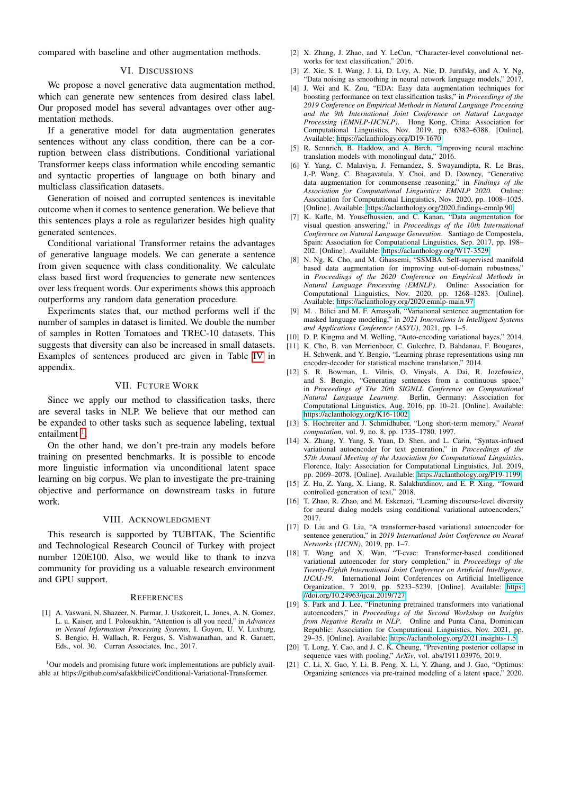compared with baseline and other augmentation methods.

#### VI. DISCUSSIONS

We propose a novel generative data augmentation method, which can generate new sentences from desired class label. Our proposed model has several advantages over other augmentation methods.

If a generative model for data augmentation generates sentences without any class condition, there can be a corruption between class distributions. Conditional variational Transformer keeps class information while encoding semantic and syntactic properties of language on both binary and multiclass classification datasets.

Generation of noised and corrupted sentences is inevitable outcome when it comes to sentence generation. We believe that this sentences plays a role as regularizer besides high quality generated sentences.

Conditional variational Transformer retains the advantages of generative language models. We can generate a sentence from given sequence with class conditionality. We calculate class based first word frequencies to generate new sentences over less frequent words. Our experiments shows this approach outperforms any random data generation procedure.

Experiments states that, our method performs well if the number of samples in dataset is limited. We double the number of samples in Rotten Tomatoes and TREC-10 datasets. This suggests that diversity can also be increased in small datasets. Examples of sentences produced are given in Table [IV](#page-6-0) in appendix.

## VII. FUTURE WORK

Since we apply our method to classification tasks, there are several tasks in NLP. We believe that our method can be expanded to other tasks such as sequence labeling, textual entailment<sup>[1](#page-4-21)</sup>.

On the other hand, we don't pre-train any models before training on presented benchmarks. It is possible to encode more linguistic information via unconditional latent space learning on big corpus. We plan to investigate the pre-training objective and performance on downstream tasks in future work.

# VIII. ACKNOWLEDGMENT

This research is supported by TUBITAK, The Scientific and Technological Research Council of Turkey with project number 120E100. Also, we would like to thank to inzva community for providing us a valuable research environment and GPU support.

#### **REFERENCES**

<span id="page-4-0"></span>[1] A. Vaswani, N. Shazeer, N. Parmar, J. Uszkoreit, L. Jones, A. N. Gomez, L. u. Kaiser, and I. Polosukhin, "Attention is all you need," in *Advances in Neural Information Processing Systems*, I. Guyon, U. V. Luxburg, S. Bengio, H. Wallach, R. Fergus, S. Vishwanathan, and R. Garnett, Eds., vol. 30. Curran Associates, Inc., 2017.

<span id="page-4-21"></span><sup>1</sup>Our models and promising future work implementations are publicly available at https://github.com/safakkbilici/Conditional-Variational-Transformer.

- <span id="page-4-1"></span>[2] X. Zhang, J. Zhao, and Y. LeCun, "Character-level convolutional networks for text classification," 2016.
- <span id="page-4-2"></span>[3] Z. Xie, S. I. Wang, J. Li, D. Lvy, A. Nie, D. Jurafsky, and A. Y. Ng, "Data noising as smoothing in neural network language models," 2017.
- <span id="page-4-3"></span>[4] J. Wei and K. Zou, "EDA: Easy data augmentation techniques for boosting performance on text classification tasks," in *Proceedings of the 2019 Conference on Empirical Methods in Natural Language Processing and the 9th International Joint Conference on Natural Language Processing (EMNLP-IJCNLP)*. Hong Kong, China: Association for Computational Linguistics, Nov. 2019, pp. 6382–6388. [Online]. Available:<https://aclanthology.org/D19-1670>
- <span id="page-4-4"></span>[5] R. Sennrich, B. Haddow, and A. Birch, "Improving neural machine translation models with monolingual data," 2016.
- <span id="page-4-5"></span>[6] Y. Yang, C. Malaviya, J. Fernandez, S. Swayamdipta, R. Le Bras, J.-P. Wang, C. Bhagavatula, Y. Choi, and D. Downey, "Generative data augmentation for commonsense reasoning," in *Findings of the Association for Computational Linguistics: EMNLP 2020*. Online: Association for Computational Linguistics, Nov. 2020, pp. 1008–1025. [Online]. Available:<https://aclanthology.org/2020.findings-emnlp.90>
- <span id="page-4-6"></span>[7] K. Kafle, M. Yousefhussien, and C. Kanan, "Data augmentation for visual question answering," in *Proceedings of the 10th International Conference on Natural Language Generation*. Santiago de Compostela, Spain: Association for Computational Linguistics, Sep. 2017, pp. 198– 202. [Online]. Available:<https://aclanthology.org/W17-3529>
- <span id="page-4-7"></span>[8] N. Ng, K. Cho, and M. Ghassemi, "SSMBA: Self-supervised manifold based data augmentation for improving out-of-domain robustness," in *Proceedings of the 2020 Conference on Empirical Methods in Natural Language Processing (EMNLP)*. Online: Association for Computational Linguistics, Nov. 2020, pp. 1268–1283. [Online]. Available:<https://aclanthology.org/2020.emnlp-main.97>
- <span id="page-4-8"></span>[9] M. . Bilici and M. F. Amasyali, "Variational sentence augmentation for masked language modeling," in *2021 Innovations in Intelligent Systems and Applications Conference (ASYU)*, 2021, pp. 1–5.
- <span id="page-4-9"></span>[10] D. P. Kingma and M. Welling, "Auto-encoding variational bayes," 2014.
- <span id="page-4-10"></span>[11] K. Cho, B. van Merrienboer, C. Gulcehre, D. Bahdanau, F. Bougares, H. Schwenk, and Y. Bengio, "Learning phrase representations using rnn encoder-decoder for statistical machine translation," 2014.
- <span id="page-4-11"></span>[12] S. R. Bowman, L. Vilnis, O. Vinyals, A. Dai, R. Jozefowicz, and S. Bengio, "Generating sentences from a continuous space," in *Proceedings of The 20th SIGNLL Conference on Computational Natural Language Learning*. Berlin, Germany: Association for Computational Linguistics, Aug. 2016, pp. 10–21. [Online]. Available: <https://aclanthology.org/K16-1002>
- <span id="page-4-12"></span>[13] S. Hochreiter and J. Schmidhuber, "Long short-term memory," *Neural computation*, vol. 9, no. 8, pp. 1735–1780, 1997.
- <span id="page-4-13"></span>[14] X. Zhang, Y. Yang, S. Yuan, D. Shen, and L. Carin, "Syntax-infused variational autoencoder for text generation," in *Proceedings of the 57th Annual Meeting of the Association for Computational Linguistics*. Florence, Italy: Association for Computational Linguistics, Jul. 2019, pp. 2069–2078. [Online]. Available:<https://aclanthology.org/P19-1199>
- <span id="page-4-14"></span>[15] Z. Hu, Z. Yang, X. Liang, R. Salakhutdinov, and E. P. Xing, "Toward controlled generation of text," 2018.
- <span id="page-4-15"></span>[16] T. Zhao, R. Zhao, and M. Eskenazi, "Learning discourse-level diversity for neural dialog models using conditional variational autoencoders," 2017.
- <span id="page-4-16"></span>[17] D. Liu and G. Liu, "A transformer-based variational autoencoder for sentence generation," in *2019 International Joint Conference on Neural Networks (IJCNN)*, 2019, pp. 1–7.
- <span id="page-4-17"></span>[18] T. Wang and X. Wan, "T-cvae: Transformer-based conditioned variational autoencoder for story completion," in *Proceedings of the Twenty-Eighth International Joint Conference on Artificial Intelligence, IJCAI-19*. International Joint Conferences on Artificial Intelligence Organization, 7 2019, pp. 5233–5239. [Online]. Available: [https:](https://doi.org/10.24963/ijcai.2019/727) [//doi.org/10.24963/ijcai.2019/727](https://doi.org/10.24963/ijcai.2019/727)
- <span id="page-4-18"></span>[19] S. Park and J. Lee, "Finetuning pretrained transformers into variational autoencoders," in *Proceedings of the Second Workshop on Insights from Negative Results in NLP*. Online and Punta Cana, Dominican Republic: Association for Computational Linguistics, Nov. 2021, pp. 29–35. [Online]. Available:<https://aclanthology.org/2021.insights-1.5>
- <span id="page-4-19"></span>[20] T. Long, Y. Cao, and J. C. K. Cheung, "Preventing posterior collapse in sequence vaes with pooling," *ArXiv*, vol. abs/1911.03976, 2019.
- <span id="page-4-20"></span>[21] C. Li, X. Gao, Y. Li, B. Peng, X. Li, Y. Zhang, and J. Gao, "Optimus: Organizing sentences via pre-trained modeling of a latent space," 2020.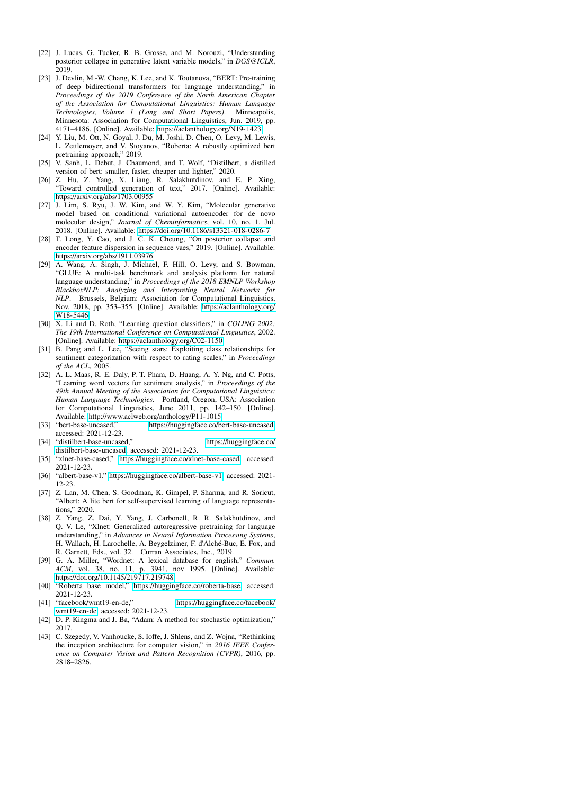- <span id="page-5-0"></span>[22] J. Lucas, G. Tucker, R. B. Grosse, and M. Norouzi, "Understanding posterior collapse in generative latent variable models," in *DGS@ICLR*, 2019.
- <span id="page-5-1"></span>[23] J. Devlin, M.-W. Chang, K. Lee, and K. Toutanova, "BERT: Pre-training of deep bidirectional transformers for language understanding," in *Proceedings of the 2019 Conference of the North American Chapter of the Association for Computational Linguistics: Human Language Technologies, Volume 1 (Long and Short Papers)*. Minneapolis, Minnesota: Association for Computational Linguistics, Jun. 2019, pp. 4171–4186. [Online]. Available:<https://aclanthology.org/N19-1423>
- <span id="page-5-2"></span>[24] Y. Liu, M. Ott, N. Goyal, J. Du, M. Joshi, D. Chen, O. Levy, M. Lewis, L. Zettlemoyer, and V. Stoyanov, "Roberta: A robustly optimized bert pretraining approach," 2019.
- <span id="page-5-3"></span>[25] V. Sanh, L. Debut, J. Chaumond, and T. Wolf, "Distilbert, a distilled version of bert: smaller, faster, cheaper and lighter," 2020.
- <span id="page-5-4"></span>[26] Z. Hu, Z. Yang, X. Liang, R. Salakhutdinov, and E. P. Xing, "Toward controlled generation of text," 2017. [Online]. Available: <https://arxiv.org/abs/1703.00955>
- <span id="page-5-5"></span>[27] J. Lim, S. Ryu, J. W. Kim, and W. Y. Kim, "Molecular generative model based on conditional variational autoencoder for de novo molecular design," *Journal of Cheminformatics*, vol. 10, no. 1, Jul. 2018. [Online]. Available:<https://doi.org/10.1186/s13321-018-0286-7>
- <span id="page-5-6"></span>[28] T. Long, Y. Cao, and J. C. K. Cheung, "On posterior collapse and encoder feature dispersion in sequence vaes," 2019. [Online]. Available: <https://arxiv.org/abs/1911.03976>
- <span id="page-5-7"></span>[29] A. Wang, A. Singh, J. Michael, F. Hill, O. Levy, and S. Bowman, "GLUE: A multi-task benchmark and analysis platform for natural language understanding," in *Proceedings of the 2018 EMNLP Workshop BlackboxNLP: Analyzing and Interpreting Neural Networks for NLP*. Brussels, Belgium: Association for Computational Linguistics, Nov. 2018, pp. 353–355. [Online]. Available: [https://aclanthology.org/](https://aclanthology.org/W18-5446) [W18-5446](https://aclanthology.org/W18-5446)
- <span id="page-5-8"></span>[30] X. Li and D. Roth, "Learning question classifiers," in *COLING 2002: The 19th International Conference on Computational Linguistics*, 2002. [Online]. Available:<https://aclanthology.org/C02-1150>
- <span id="page-5-9"></span>[31] B. Pang and L. Lee, "Seeing stars: Exploiting class relationships for sentiment categorization with respect to rating scales," in *Proceedings of the ACL*, 2005.
- <span id="page-5-10"></span>[32] A. L. Maas, R. E. Daly, P. T. Pham, D. Huang, A. Y. Ng, and C. Potts, "Learning word vectors for sentiment analysis," in *Proceedings of the 49th Annual Meeting of the Association for Computational Linguistics: Human Language Technologies*. Portland, Oregon, USA: Association for Computational Linguistics, June 2011, pp. 142–150. [Online]. Available:<http://www.aclweb.org/anthology/P11-1015>
- <span id="page-5-11"></span>[33] "bert-base-uncased," [https://huggingface.co/bert-base-uncased,](https://huggingface.co/bert-base-uncased) accessed: 2021-12-23.
- <span id="page-5-12"></span>[34] "distilbert-base-uncased," [https://huggingface.co/](https://huggingface.co/distilbert-base-uncased) [distilbert-base-uncased,](https://huggingface.co/distilbert-base-uncased) accessed: 2021-12-23.
- <span id="page-5-13"></span>[35] "xlnet-base-cased," [https://huggingface.co/xlnet-base-cased,](https://huggingface.co/xlnet-base-cased) accessed: 2021-12-23.
- <span id="page-5-14"></span>[36] "albert-base-v1," [https://huggingface.co/albert-base-v1,](https://huggingface.co/albert-base-v1) accessed: 2021- 12-23.
- <span id="page-5-15"></span>[37] Z. Lan, M. Chen, S. Goodman, K. Gimpel, P. Sharma, and R. Soricut, "Albert: A lite bert for self-supervised learning of language representations," 2020.
- <span id="page-5-16"></span>[38] Z. Yang, Z. Dai, Y. Yang, J. Carbonell, R. R. Salakhutdinov, and Q. V. Le, "Xlnet: Generalized autoregressive pretraining for language understanding," in *Advances in Neural Information Processing Systems*, H. Wallach, H. Larochelle, A. Beygelzimer, F. d'Alche-Buc, E. Fox, and ´ R. Garnett, Eds., vol. 32. Curran Associates, Inc., 2019.
- <span id="page-5-17"></span>[39] G. A. Miller, "Wordnet: A lexical database for english," *Commun. ACM*, vol. 38, no. 11, p. 3941, nov 1995. [Online]. Available: <https://doi.org/10.1145/219717.219748>
- <span id="page-5-18"></span>[40] "Roberta base model," [https://huggingface.co/roberta-base,](https://huggingface.co/roberta-base) accessed: 2021-12-23.<br>[41] "facebook/wmt19-en-de,"
- <span id="page-5-19"></span>https://huggingface.co/facebook/ [wmt19-en-de,](https://huggingface.co/facebook/wmt19-en-de) accessed: 2021-12-23.
- <span id="page-5-20"></span>[42] D. P. Kingma and J. Ba, "Adam: A method for stochastic optimization," 2017.
- <span id="page-5-21"></span>[43] C. Szegedy, V. Vanhoucke, S. Ioffe, J. Shlens, and Z. Wojna, "Rethinking the inception architecture for computer vision," in *2016 IEEE Conference on Computer Vision and Pattern Recognition (CVPR)*, 2016, pp. 2818–2826.